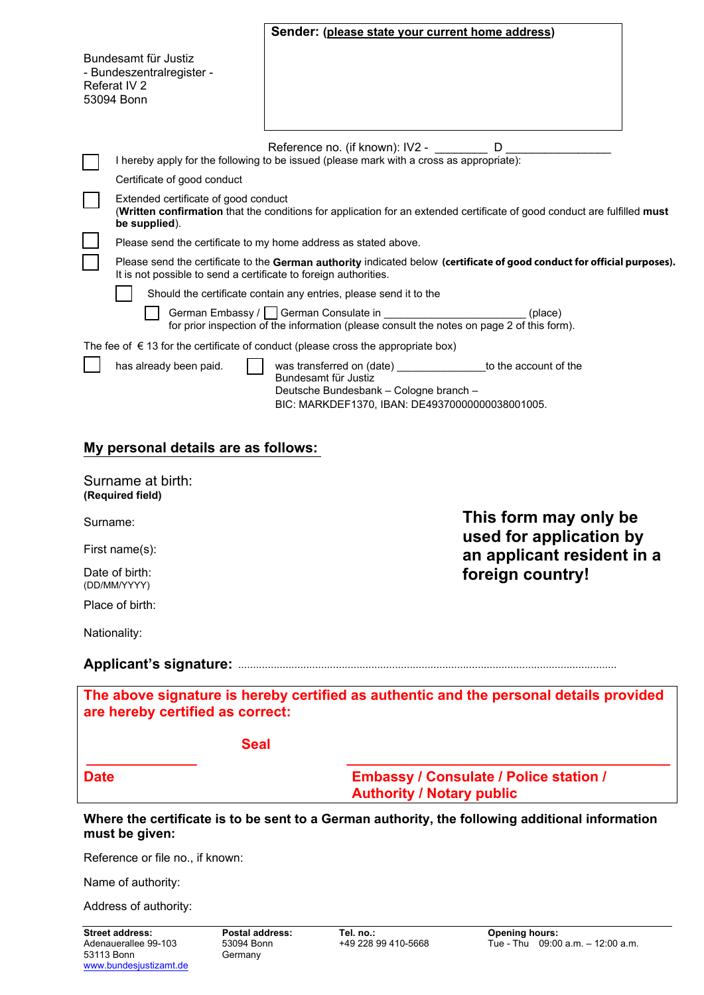|                                |                                                                                                                                                                                              | Sender: (please state your current home address)                                                                                                                                      |  |  |
|--------------------------------|----------------------------------------------------------------------------------------------------------------------------------------------------------------------------------------------|---------------------------------------------------------------------------------------------------------------------------------------------------------------------------------------|--|--|
|                                | Bundesamt für Justiz<br>- Bundeszentralregister -<br>Referat IV 2<br>53094 Bonn                                                                                                              |                                                                                                                                                                                       |  |  |
|                                |                                                                                                                                                                                              | Reference no. (if known): IV2 -<br>D<br>I hereby apply for the following to be issued (please mark with a cross as appropriate):                                                      |  |  |
|                                | Certificate of good conduct                                                                                                                                                                  |                                                                                                                                                                                       |  |  |
|                                | Extended certificate of good conduct<br>(Written confirmation that the conditions for application for an extended certificate of good conduct are fulfilled must<br>be supplied).            |                                                                                                                                                                                       |  |  |
|                                | Please send the certificate to my home address as stated above.                                                                                                                              |                                                                                                                                                                                       |  |  |
|                                | Please send the certificate to the German authority indicated below (certificate of good conduct for official purposes).<br>It is not possible to send a certificate to foreign authorities. |                                                                                                                                                                                       |  |  |
|                                |                                                                                                                                                                                              | Should the certificate contain any entries, please send it to the                                                                                                                     |  |  |
|                                |                                                                                                                                                                                              | German Embassy / German Consulate in<br>(place)<br>for prior inspection of the information (please consult the notes on page 2 of this form).                                         |  |  |
|                                |                                                                                                                                                                                              | The fee of $\epsilon$ 13 for the certificate of conduct (please cross the appropriate box)                                                                                            |  |  |
|                                | has already been paid.                                                                                                                                                                       | was transferred on (date) ________________ to the account of the<br>Bundesamt für Justiz<br>Deutsche Bundesbank - Cologne branch -<br>BIC: MARKDEF1370, IBAN: DE49370000000038001005. |  |  |
|                                | My personal details are as follows:                                                                                                                                                          |                                                                                                                                                                                       |  |  |
|                                | Surname at birth:<br>(Required field)                                                                                                                                                        |                                                                                                                                                                                       |  |  |
| Surname:                       |                                                                                                                                                                                              | This form may only be<br>used for application by                                                                                                                                      |  |  |
| First name(s):                 |                                                                                                                                                                                              | an applicant resident in a                                                                                                                                                            |  |  |
| Date of birth:<br>(DD/MM/YYYY) |                                                                                                                                                                                              | foreign country!                                                                                                                                                                      |  |  |
|                                | Place of birth:                                                                                                                                                                              |                                                                                                                                                                                       |  |  |

Nationality:

# **Applicant's signature:** ................................................................................................................................

| are hereby certified as correct: |             | The above signature is hereby certified as authentic and the personal details provided |
|----------------------------------|-------------|----------------------------------------------------------------------------------------|
|                                  | <b>Seal</b> |                                                                                        |
| <b>Date</b>                      |             | <b>Embassy / Consulate / Police station /</b><br><b>Authority / Notary public</b>      |

**Where the certificate is to be sent to a German authority, the following additional information must be given:** 

Reference or file no., if known:

Name of authority:

Address of authority: